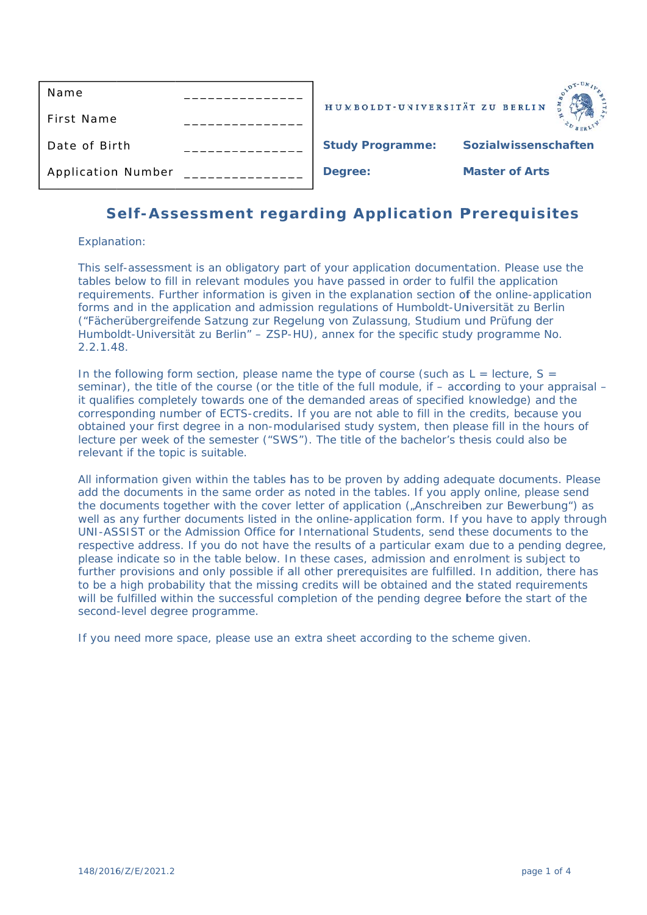| Name                      | HUMBOLDT-UNIVERSITÄT ZU BERLIN |                       |
|---------------------------|--------------------------------|-----------------------|
| First Name                |                                |                       |
| Date of Birth             | <b>Study Programme:</b>        | Sozialwissenschaften  |
| <b>Application Number</b> | Degree:                        | <b>Master of Arts</b> |

# Self-Assessment regarding Application Prerequisites

### Explanation:

This self-assessment is an obligatory part of your application documentation. Please use the tables below to fill in relevant modules you have passed in order to fulfil the application requirements. Further information is given in the explanation section of the online-application forms and in the application and admission regulations of Humboldt-Universität zu Berlin ("Fächerübergreifende Satzung zur Regelung von Zulassung, Studium und Prüfung der Humboldt-Universität zu Berlin" – ZSP-HU), annex for the specific study programme No.  $2.2.1.48.$ 

In the following form section, please name the type of course (such as  $L =$  lecture,  $S =$ seminar), the title of the course (or the title of the full module, if  $-$  according to your appraisal  $$ it qualifies completely towards one of the demanded areas of specified knowledge) and the corresponding number of ECTS-credits. If you are not able to fill in the credits, because you obtained your first degree in a non-modularised study system, then please fill in the hours of lecture per week of the semester ("SWS"). The title of the bachelor's thesis could also be relevant if the topic is suitable.

All information given within the tables has to be proven by adding adequate documents. Please add the documents in the same order as noted in the tables. If you apply online, please send the documents together with the cover letter of application ("Anschreiben zur Bewerbung") as well as any further documents listed in the online-application form. If you have to apply through UNI-ASSIST or the Admission Office for International Students, send these documents to the respective address. If you do not have the results of a particular exam due to a pending degree, please indicate so in the table below. In these cases, admission and enrolment is subject to further provisions and only possible if all other prerequisites are fulfilled. In addition, there has to be a high probability that the missing credits will be obtained and the stated requirements will be fulfilled within the successful completion of the pending degree before the start of the second-level degree programme.

If you need more space, please use an extra sheet according to the scheme given.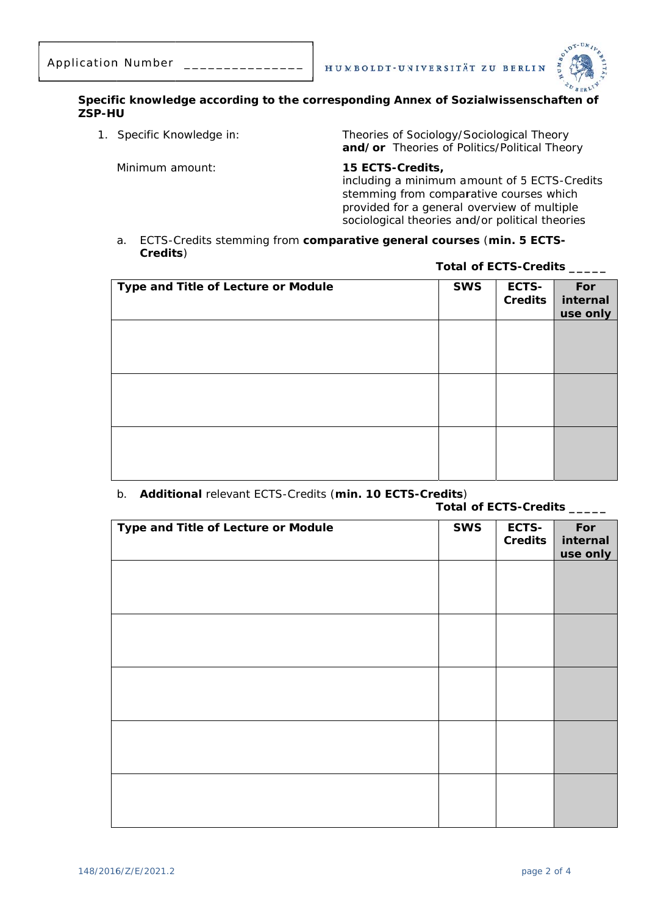

#### Specific knowledge according to the corresponding Annex of Sozialwissenschaften of ZSP-HU

1. Specific Knowledge in:

Theories of Sociology/Sociological Theory and/or Theories of Politics/Political Theory

Minimum amount:

15 ECTS-Credits,

including a minimum amount of 5 ECTS-Credits stemming from comparative courses which provided for a general overview of multiple sociological theories and/or political theories

a. ECTS-Credits stemming from comparative general courses (min. 5 ECTS-Credits)

Total of ECTS-Credits \_\_\_\_

| Type and Title of Lecture or Module | <b>SWS</b> | ECTS-<br>Credits | For<br>internal<br>use only |
|-------------------------------------|------------|------------------|-----------------------------|
|                                     |            |                  |                             |
|                                     |            |                  |                             |
|                                     |            |                  |                             |
|                                     |            |                  |                             |
|                                     |            |                  |                             |

## b. Additional relevant ECTS-Credits (min. 10 ECTS-Credits)

|                                     | Total of ECTS-Credits _____ |                  |                             |
|-------------------------------------|-----------------------------|------------------|-----------------------------|
| Type and Title of Lecture or Module | <b>SWS</b>                  | ECTS-<br>Credits | For<br>internal<br>use only |
|                                     |                             |                  |                             |
|                                     |                             |                  |                             |
|                                     |                             |                  |                             |
|                                     |                             |                  |                             |
|                                     |                             |                  |                             |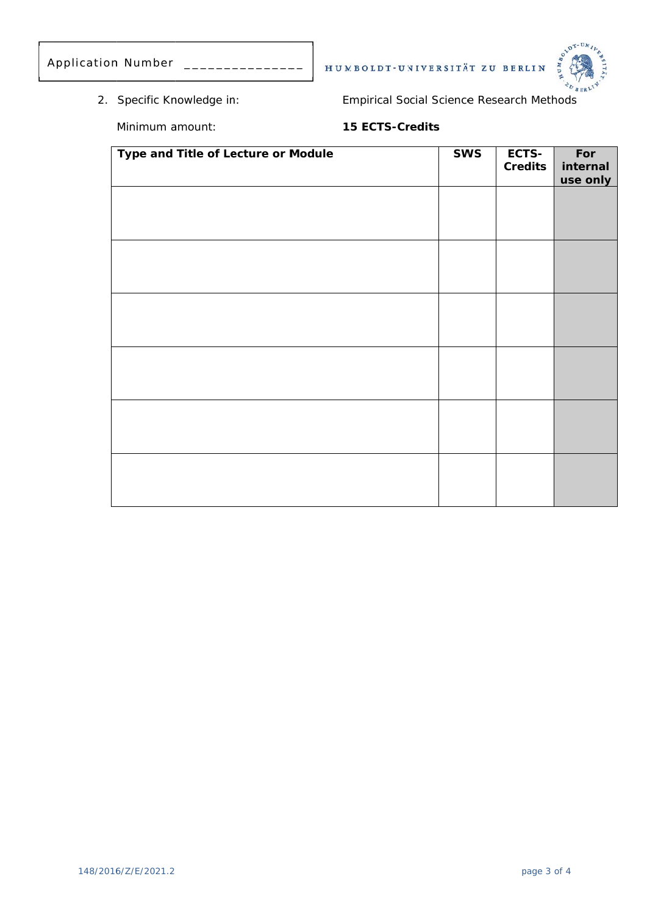| Application Number |  |
|--------------------|--|
|                    |  |

2. Specific Knowledge in:

**Empirical Social Science Research Methods** 

HUMBOLDT-UNIVERSITÄT ZU BERLIN



Minimum amount:

15 ECTS-Credits

| Type and Title of Lecture or Module | <b>SWS</b> | ECTS-<br>Credits | For<br>internal<br>use only |
|-------------------------------------|------------|------------------|-----------------------------|
|                                     |            |                  |                             |
|                                     |            |                  |                             |
|                                     |            |                  |                             |
|                                     |            |                  |                             |
|                                     |            |                  |                             |
|                                     |            |                  |                             |